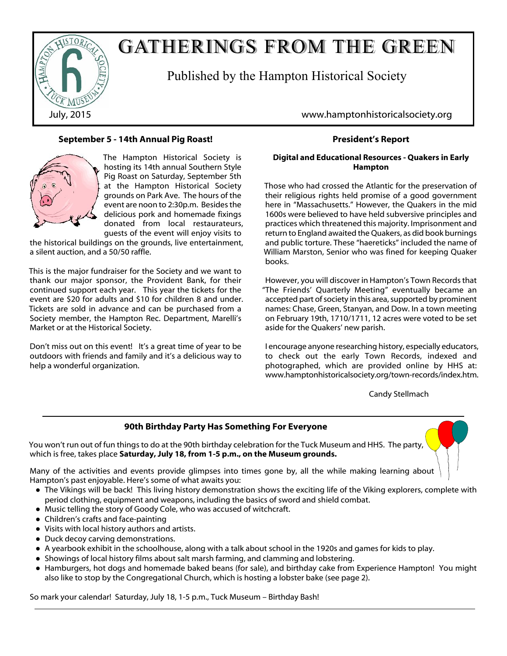

# GATHERINGS FROM THE GREEN

Published by the Hampton Historical Society

## **September 5 - 14th Annual Pig Roast!**



The Hampton Historical Society is hosting its 14th annual Southern Style Pig Roast on Saturday, September 5th at the Hampton Historical Society grounds on Park Ave. The hours of the event are noon to 2:30p.m. Besides the delicious pork and homemade fixings donated from local restaurateurs, guests of the event will enjoy visits to

the historical buildings on the grounds, live entertainment, a silent auction, and a 50/50 raffle.

This is the major fundraiser for the Society and we want to thank our major sponsor, the Provident Bank, for their continued support each year. This year the tickets for the event are \$20 for adults and \$10 for children 8 and under. Tickets are sold in advance and can be purchased from a Society member, the Hampton Rec. Department, Marelli's Market or at the Historical Society.

Don't miss out on this event! It's a great time of year to be outdoors with friends and family and it's a delicious way to help a wonderful organization.

July, 2015 www.hamptonhistoricalsociety.org

## **President's Report**

#### **Digital and Educational Resources - Quakers in Early Hampton**

Those who had crossed the Atlantic for the preservation of their religious rights held promise of a good government here in "Massachusetts." However, the Quakers in the mid 1600s were believed to have held subversive principles and practices which threatened this majority. Imprisonment and return to England awaited the Quakers, as did book burnings and public torture. These "haereticks" included the name of William Marston, Senior who was fined for keeping Quaker books.

However, you will discover in Hampton's Town Records that "The Friends' Quarterly Meeting" eventually became an accepted part of society in this area, supported by prominent names: Chase, Green, Stanyan, and Dow. In a town meeting on February 19th, 1710/1711, 12 acres were voted to be set aside for the Quakers' new parish.

I encourage anyone researching history, especially educators, to check out the early Town Records, indexed and photographed, which are provided online by HHS at: www.hamptonhistoricalsociety.org/town-records/index.htm.

Candy Stellmach

## **90th Birthday Party Has Something For Everyone**

You won't run out of fun things to do at the 90th birthday celebration for the Tuck Museum and HHS. The party, which is free, takes place **Saturday, July 18, from 1-5 p.m., on the Museum grounds.**

Many of the activities and events provide glimpses into times gone by, all the while making learning about Hampton's past enjoyable. Here's some of what awaits you:

- The Vikings will be back! This living history demonstration shows the exciting life of the Viking explorers, complete with period clothing, equipment and weapons, including the basics of sword and shield combat.
- Music telling the story of Goody Cole, who was accused of witchcraft.
- Children's crafts and face-painting
- Visits with local history authors and artists.
- Duck decoy carving demonstrations.
- A yearbook exhibit in the schoolhouse, along with a talk about school in the 1920s and games for kids to play.
- Showings of local history films about salt marsh farming, and clamming and lobstering.
- Hamburgers, hot dogs and homemade baked beans (for sale), and birthday cake from Experience Hampton! You might also like to stop by the Congregational Church, which is hosting a lobster bake (see page 2).

So mark your calendar! Saturday, July 18, 1-5 p.m., Tuck Museum – Birthday Bash!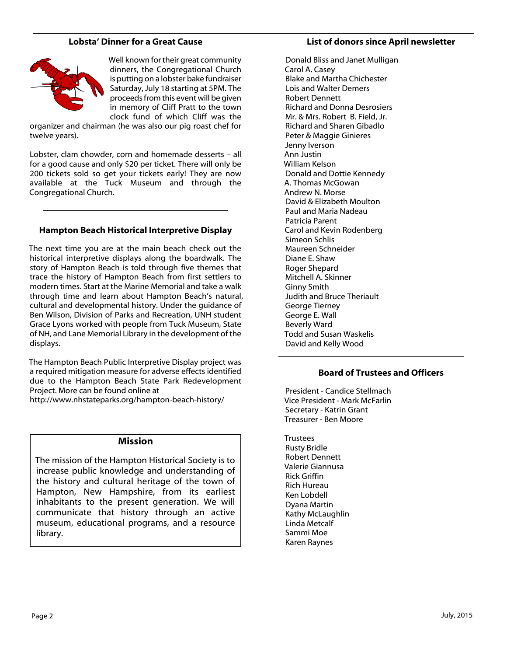### **Lobsta' Dinner for a Great Cause**



Well known for their great community dinners, the Congregational Church is putting on a lobster bake fundraiser Saturday, July 18 starting at 5PM. The proceeds from this event will be given in memory of Cliff Pratt to the town clock fund of which Cliff was the

organizer and chairman (he was also our pig roast chef for twelve years).

Lobster, clam chowder, corn and homemade desserts – all for a good cause and only \$20 per ticket. There will only be 200 tickets sold so get your tickets early! They are now available at the Tuck Museum and through the Congregational Church.

#### **Hampton Beach Historical Interpretive Display**

The next time you are at the main beach check out the historical interpretive displays along the boardwalk. The story of Hampton Beach is told through five themes that trace the history of Hampton Beach from first settlers to modern times. Start at the Marine Memorial and take a walk through time and learn about Hampton Beach's natural, cultural and developmental history. Under the guidance of Ben Wilson, Division of Parks and Recreation, UNH student Grace Lyons worked with people from Tuck Museum, State of NH, and Lane Memorial Library in the development of the displays.

The Hampton Beach Public Interpretive Display project was a required mitigation measure for adverse effects identified due to the Hampton Beach State Park Redevelopment Project. More can be found online at

http://www.nhstateparks.org/hampton-beach-history/

#### **Mission**

The mission of the Hampton Historical Society is to increase public knowledge and understanding of the history and cultural heritage of the town of Hampton, New Hampshire, from its earliest inhabitants to the present generation. We will communicate that history through an active museum, educational programs, and a resource library.

#### **List of donors since April newsletter**

Donald Bliss and Janet Mulligan Carol A. Casey Blake and Martha Chichester Lois and Walter Demers Robert Dennett Richard and Donna Desrosiers Mr. & Mrs. Robert B. Field, Jr. Richard and Sharen Gibadlo Peter & Maggie Ginieres Jenny Iverson Ann Justin William Kelson Donald and Dottie Kennedy A. Thomas McGowan Andrew N. Morse David & Elizabeth Moulton Paul and Maria Nadeau Patricia Parent Carol and Kevin Rodenberg Simeon Schlis Maureen Schneider Diane E. Shaw Roger Shepard Mitchell A. Skinner Ginny Smith Judith and Bruce Theriault George Tierney George E. Wall Beverly Ward Todd and Susan Waskelis David and Kelly Wood

#### **Board of Trustees and Officers**

President - Candice Stellmach Vice President - Mark McFarlin Secretary - Katrin Grant Treasurer - Ben Moore

**Trustees** Rusty Bridle Robert Dennett Valerie Giannusa Rick Griffin Rich Hureau Ken Lobdell Dyana Martin Kathy McLaughlin Linda Metcalf Sammi Moe Karen Raynes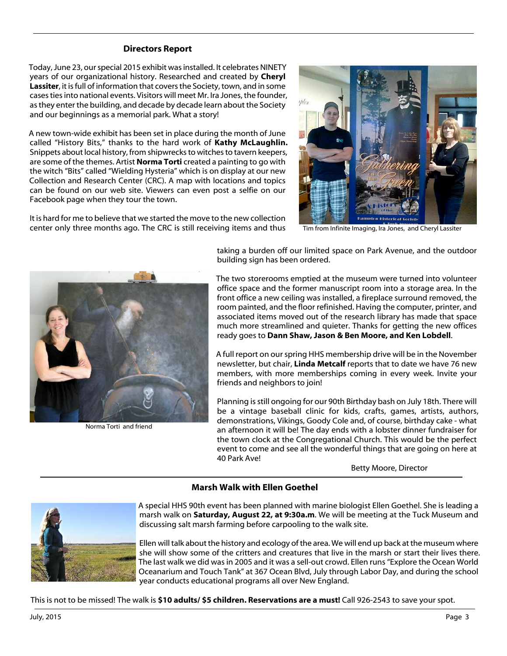#### **Directors Report**

Today, June 23, our special 2015 exhibit was installed. It celebrates NINETY years of our organizational history. Researched and created by **Cheryl Lassiter**, it is full of information that covers the Society, town, and in some cases ties into national events. Visitors will meet Mr. Ira Jones, the founder, as they enter the building, and decade by decade learn about the Society and our beginnings as a memorial park. What a story!

A new town-wide exhibit has been set in place during the month of June called "History Bits," thanks to the hard work of **Kathy McLaughlin.** Snippets about local history, from shipwrecks to witches to tavern keepers, are some of the themes. Artist **Norma Torti** created a painting to go with the witch "Bits" called "Wielding Hysteria" which is on display at our new Collection and Research Center (CRC). A map with locations and topics can be found on our web site. Viewers can even post a selfie on our Facebook page when they tour the town.

It is hard for me to believe that we started the move to the new collection center only three months ago. The CRC is still receiving items and thus



Tim from Infinite Imaging, Ira Jones, and Cheryl Lassiter



Norma Torti and friend

taking a burden off our limited space on Park Avenue, and the outdoor building sign has been ordered.

The two storerooms emptied at the museum were turned into volunteer office space and the former manuscript room into a storage area. In the front office a new ceiling was installed, a fireplace surround removed, the room painted, and the floor refinished. Having the computer, printer, and associated items moved out of the research library has made that space much more streamlined and quieter. Thanks for getting the new offices ready goes to **Dann Shaw, Jason & Ben Moore, and Ken Lobdell**.

A full report on our spring HHS membership drive will be in the November newsletter, but chair, **Linda Metcalf** reports that to date we have 76 new members, with more memberships coming in every week. Invite your friends and neighbors to join!

Planning is still ongoing for our 90th Birthday bash on July 18th. There will be a vintage baseball clinic for kids, crafts, games, artists, authors, demonstrations, Vikings, Goody Cole and, of course, birthday cake - what an afternoon it will be! The day ends with a lobster dinner fundraiser for the town clock at the Congregational Church. This would be the perfect event to come and see all the wonderful things that are going on here at 40 Park Ave!

Betty Moore, Director

### **Marsh Walk with Ellen Goethel**



A special HHS 90th event has been planned with marine biologist Ellen Goethel. She is leading a marsh walk on **Saturday, August 22, at 9:30a.m**. We will be meeting at the Tuck Museum and discussing salt marsh farming before carpooling to the walk site.

Ellen will talk about the history and ecology of the area. We will end up back at the museum where she will show some of the critters and creatures that live in the marsh or start their lives there. The last walk we did was in 2005 and it was a sell-out crowd. Ellen runs "Explore the Ocean World Oceanarium and Touch Tank" at 367 Ocean Blvd, July through Labor Day, and during the school year conducts educational programs all over New England.

This is not to be missed! The walk is **\$10 adults/ \$5 children. Reservations are a must!** Call 926-2543 to save your spot.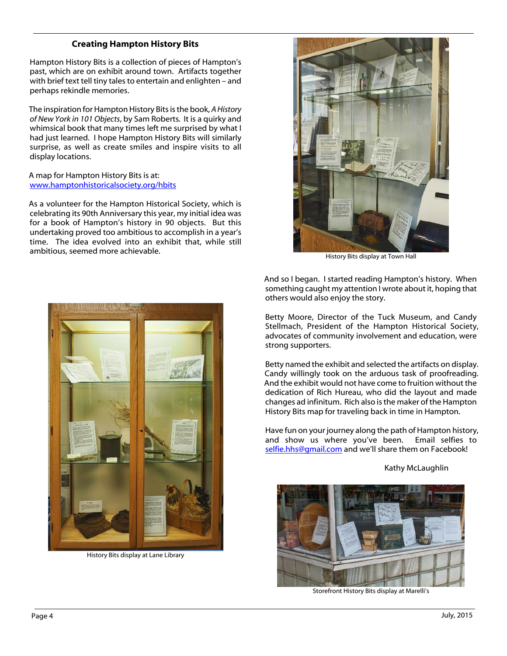## **Creating Hampton History Bits**

Hampton History Bits is a collection of pieces of Hampton's past, which are on exhibit around town. Artifacts together with brief text tell tiny tales to entertain and enlighten – and perhaps rekindle memories.

The inspiration for Hampton History Bits is the book, *A History of New York in 101 Objects*, by Sam Roberts*.* It is a quirky and whimsical book that many times left me surprised by what I had just learned. I hope Hampton History Bits will similarly surprise, as well as create smiles and inspire visits to all display locations.

A map for Hampton History Bits is at: [www.hamptonhistoricalsociety.org/hbits](http://www.hamptonhistoricalsociety.org/hbits)

As a volunteer for the Hampton Historical Society, which is celebrating its 90th Anniversary this year, my initial idea was for a book of Hampton's history in 90 objects. But this undertaking proved too ambitious to accomplish in a year's time. The idea evolved into an exhibit that, while still ambitious, seemed more achievable.



History Bits display at Town Hall

And so I began. I started reading Hampton's history. When something caught my attention I wrote about it, hoping that others would also enjoy the story.

Betty Moore, Director of the Tuck Museum, and Candy Stellmach, President of the Hampton Historical Society, advocates of community involvement and education, were strong supporters.

Betty named the exhibit and selected the artifacts on display. Candy willingly took on the arduous task of proofreading. And the exhibit would not have come to fruition without the dedication of Rich Hureau, who did the layout and made changes ad infinitum. Rich also is the maker of the Hampton History Bits map for traveling back in time in Hampton.

Have fun on your journey along the path of Hampton history, and show us where you've been. Email selfies to [selfie.hhs@gmail.com](mailto:selfie.hhs@gmail.com) and we'll share them on Facebook!

Kathy McLaughlin



Storefront History Bits display at Marelli's



History Bits display at Lane Library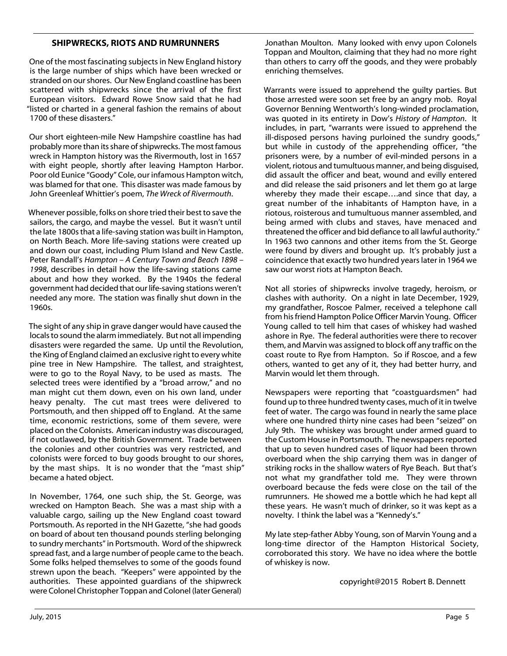#### **SHIPWRECKS, RIOTS AND RUMRUNNERS**

One of the most fascinating subjects in New England history is the large number of ships which have been wrecked or stranded on our shores. Our New England coastline has been scattered with shipwrecks since the arrival of the first European visitors. Edward Rowe Snow said that he had "listed or charted in a general fashion the remains of about 1700 of these disasters."

Our short eighteen-mile New Hampshire coastline has had probably more than its share of shipwrecks. The most famous wreck in Hampton history was the Rivermouth, lost in 1657 with eight people, shortly after leaving Hampton Harbor. Poor old Eunice "Goody" Cole, our infamous Hampton witch, was blamed for that one. This disaster was made famous by John Greenleaf Whittier's poem, *The Wreck of Rivermouth*.

Whenever possible, folks on shore tried their best to save the sailors, the cargo, and maybe the vessel. But it wasn't until the late 1800s that a life-saving station was built in Hampton, on North Beach. More life-saving stations were created up and down our coast, including Plum Island and New Castle. Peter Randall's *Hampton – A Century Town and Beach 1898 – 1998*, describes in detail how the life-saving stations came about and how they worked. By the 1940s the federal government had decided that our life-saving stations weren't needed any more. The station was finally shut down in the 1960s.

The sight of any ship in grave danger would have caused the locals to sound the alarm immediately. But not all impending disasters were regarded the same. Up until the Revolution, the King of England claimed an exclusive right to every white pine tree in New Hampshire. The tallest, and straightest, were to go to the Royal Navy, to be used as masts. The selected trees were identified by a "broad arrow," and no man might cut them down, even on his own land, under heavy penalty. The cut mast trees were delivered to Portsmouth, and then shipped off to England. At the same time, economic restrictions, some of them severe, were placed on the Colonists. American industry was discouraged, if not outlawed, by the British Government. Trade between the colonies and other countries was very restricted, and colonists were forced to buy goods brought to our shores, by the mast ships. It is no wonder that the "mast ship" became a hated object.

In November, 1764, one such ship, the St. George, was wrecked on Hampton Beach. She was a mast ship with a valuable cargo, sailing up the New England coast toward Portsmouth. As reported in the NH Gazette, "she had goods on board of about ten thousand pounds sterling belonging to sundry merchants" in Portsmouth. Word of the shipwreck spread fast, and a large number of people came to the beach. Some folks helped themselves to some of the goods found strewn upon the beach. "Keepers" were appointed by the authorities. These appointed guardians of the shipwreck were Colonel Christopher Toppan and Colonel (later General)

Jonathan Moulton. Many looked with envy upon Colonels Toppan and Moulton, claiming that they had no more right than others to carry off the goods, and they were probably enriching themselves.

Warrants were issued to apprehend the guilty parties. But those arrested were soon set free by an angry mob. Royal Governor Benning Wentworth's long-winded proclamation, was quoted in its entirety in Dow's *History of Hampton*. It includes, in part, "warrants were issued to apprehend the ill-disposed persons having purloined the sundry goods," but while in custody of the apprehending officer, "the prisoners were, by a number of evil-minded persons in a violent, riotous and tumultuous manner, and being disguised, did assault the officer and beat, wound and evilly entered and did release the said prisoners and let them go at large whereby they made their escape….and since that day, a great number of the inhabitants of Hampton have, in a riotous, roisterous and tumultuous manner assembled, and being armed with clubs and staves, have menaced and threatened the officer and bid defiance to all lawful authority." In 1963 two cannons and other items from the St. George were found by divers and brought up. It's probably just a coincidence that exactly two hundred years later in 1964 we saw our worst riots at Hampton Beach.

Not all stories of shipwrecks involve tragedy, heroism, or clashes with authority. On a night in late December, 1929, my grandfather, Roscoe Palmer, received a telephone call from his friend Hampton Police Officer Marvin Young. Officer Young called to tell him that cases of whiskey had washed ashore in Rye. The federal authorities were there to recover them, and Marvin was assigned to block off any traffic on the coast route to Rye from Hampton. So if Roscoe, and a few others, wanted to get any of it, they had better hurry, and Marvin would let them through.

Newspapers were reporting that "coastguardsmen" had found up to three hundred twenty cases, much of it in twelve feet of water. The cargo was found in nearly the same place where one hundred thirty nine cases had been "seized" on July 9th. The whiskey was brought under armed guard to the Custom House in Portsmouth. The newspapers reported that up to seven hundred cases of liquor had been thrown overboard when the ship carrying them was in danger of striking rocks in the shallow waters of Rye Beach. But that's not what my grandfather told me. They were thrown overboard because the feds were close on the tail of the rumrunners. He showed me a bottle which he had kept all these years. He wasn't much of drinker, so it was kept as a novelty. I think the label was a "Kennedy's."

My late step-father Abby Young, son of Marvin Young and a long-time director of the Hampton Historical Society, corroborated this story. We have no idea where the bottle of whiskey is now.

copyright@2015 Robert B. Dennett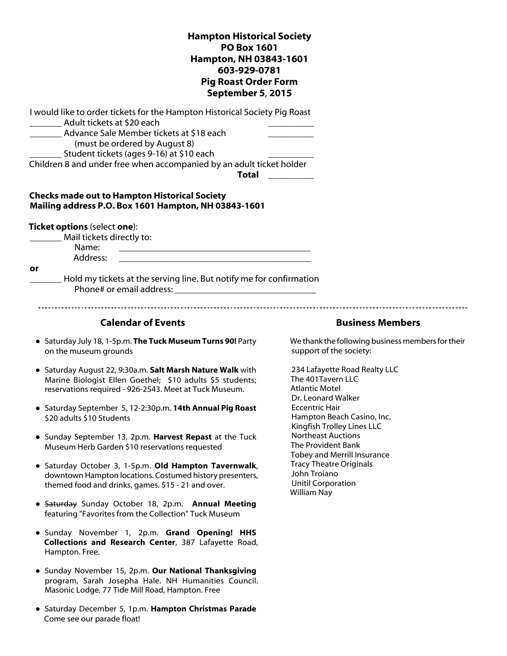**Hampton Historical Society PO Box 1601 Hampton, NH 03843-1601 603-929-0781 Pig Roast Order Form September 5**, **2015** I would like to order tickets for the Hampton Historical Society Pig Roast \_\_\_\_\_\_\_ Adult tickets at \$20 each \_\_\_\_\_\_\_\_\_\_ Advance Sale Member tickets at \$18 each (must be ordered by August 8) Student tickets (ages 9-16) at \$10 each Children 8 and under free when accompanied by an adult ticket holder **Total** \_\_\_\_\_\_\_\_\_\_ **Checks made out to Hampton Historical Society Mailing address P.O. Box 1601 Hampton, NH 03843-1601 Ticket options** (select **one**): \_\_\_\_\_\_\_ Mail tickets directly to: Name: \_\_\_\_\_\_\_\_\_\_\_\_\_\_\_\_\_\_\_\_\_\_\_\_\_\_\_\_\_\_\_\_\_\_\_\_\_\_\_\_\_\_ Address: **or** Hold my tickets at the serving line. But notify me for confirmation Phone# or email address: **Calendar of Events Business Members** ● Saturday July 18, 1-5p.m. **The Tuck Museum Turns 90!** Party We thank the following business members for their support of the society: on the museum grounds ● Saturday August 22, 9:30a.m. **Salt Marsh Nature Walk** with 234 Lafayette Road Realty LLC The 401Tavern LLC Marine Biologist Ellen Goethel; \$10 adults \$5 students; reservations required - 926-2543. Meet at Tuck Museum. Atlantic Motel Dr. Leonard Walker Eccentric Hair ● Saturday September 5, 12-2:30p.m. **14th Annual Pig Roast** Hampton Beach Casino, Inc. \$20 adults \$10 Students Kingfish Trolley Lines LLC Northeast Auctions ● Sunday September 13, 2p.m. **Harvest Repast** at the Tuck The Provident Bank Museum Herb Garden \$10 reservations requested Tobey and Merrill Insurance Tracy Theatre Originals ● Saturday October 3, 1-5p.m. **Old Hampton Tavernwalk**, John Troiano downtown Hampton locations. Costumed history presenters, Unitil Corporation themed food and drinks, games. \$15 - 21 and over. William Nay ● Saturday Sunday October 18, 2p.m. **Annual Meeting** featuring "Favorites from the Collection" Tuck Museum ● Sunday November 1, 2p.m. **Grand Opening! HHS Collections and Research Center**, 387 Lafayette Road, Hampton. Free. ● Sunday November 15, 2p.m. **Our National Thanksgiving** program, Sarah Josepha Hale. NH Humanities Council. Masonic Lodge, 77 Tide Mill Road, Hampton. Free ● Saturday December 5, 1p.m. **Hampton Christmas Parade** Come see our parade float!